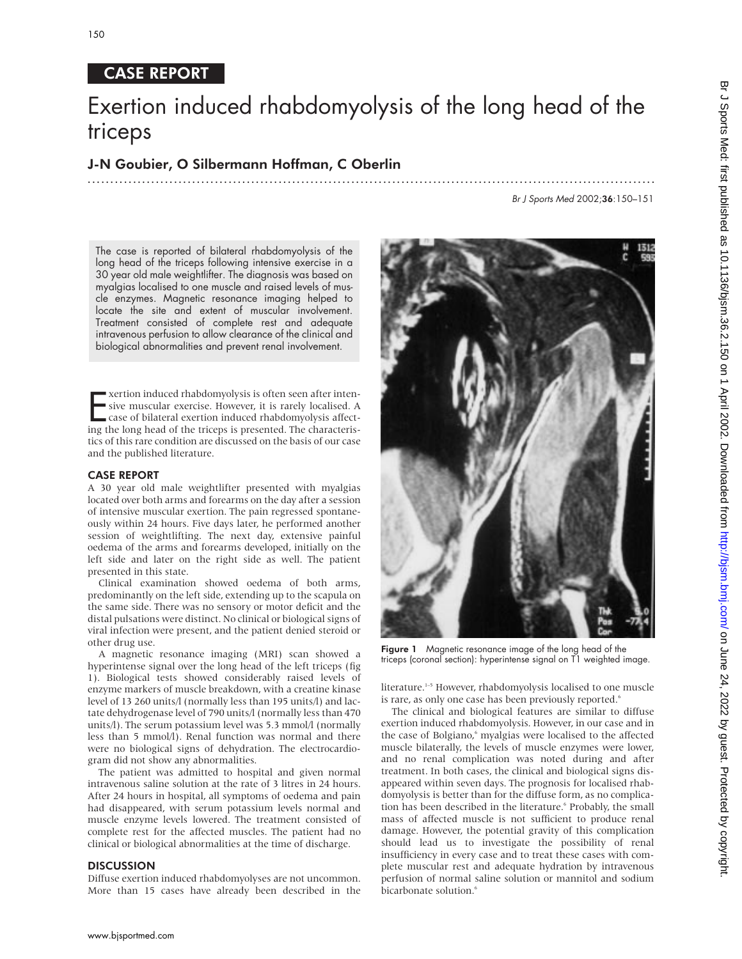# CASE REPORT

# Exertion induced rhabdomyolysis of the long head of the triceps

.............................................................................................................................

## J-N Goubier, O Silbermann Hoffman, C Oberlin

Br J Sports Med 2002;36:150–151

The case is reported of bilateral rhabdomyolysis of the long head of the triceps following intensive exercise in a 30 year old male weightlifter. The diagnosis was based on myalgias localised to one muscle and raised levels of muscle enzymes. Magnetic resonance imaging helped to locate the site and extent of muscular involvement. Treatment consisted of complete rest and adequate intravenous perfusion to allow clearance of the clinical and biological abnormalities and prevent renal involvement.

Exertion induced rhabdomyolysis is often seen after intensive muscular exercise. However, it is rarely localised. A case of bilateral exertion induced rhabdomyolysis affecting the long head of the triceps is presented. The xertion induced rhabdomyolysis is often seen after intensive muscular exercise. However, it is rarely localised. A case of bilateral exertion induced rhabdomyolysis affecttics of this rare condition are discussed on the basis of our case and the published literature.

### CASE REPORT

A 30 year old male weightlifter presented with myalgias located over both arms and forearms on the day after a session of intensive muscular exertion. The pain regressed spontaneously within 24 hours. Five days later, he performed another session of weightlifting. The next day, extensive painful oedema of the arms and forearms developed, initially on the left side and later on the right side as well. The patient presented in this state.

Clinical examination showed oedema of both arms, predominantly on the left side, extending up to the scapula on the same side. There was no sensory or motor deficit and the distal pulsations were distinct. No clinical or biological signs of viral infection were present, and the patient denied steroid or other drug use.

A magnetic resonance imaging (MRI) scan showed a hyperintense signal over the long head of the left triceps (fig 1). Biological tests showed considerably raised levels of enzyme markers of muscle breakdown, with a creatine kinase level of 13 260 units/l (normally less than 195 units/l) and lactate dehydrogenase level of 790 units/l (normally less than 470 units/l). The serum potassium level was 5.3 mmol/l (normally less than 5 mmol/l). Renal function was normal and there were no biological signs of dehydration. The electrocardiogram did not show any abnormalities.

The patient was admitted to hospital and given normal intravenous saline solution at the rate of 3 litres in 24 hours. After 24 hours in hospital, all symptoms of oedema and pain had disappeared, with serum potassium levels normal and muscle enzyme levels lowered. The treatment consisted of complete rest for the affected muscles. The patient had no clinical or biological abnormalities at the time of discharge.

## **DISCUSSION**

Diffuse exertion induced rhabdomyolyses are not uncommon. More than 15 cases have already been described in the



Figure 1 Magnetic resonance image of the long head of the triceps (coronal section): hyperintense signal on T1 weighted image.

literature.<sup>1-5</sup> However, rhabdomyolysis localised to one muscle is rare, as only one case has been previously reported.<sup>6</sup>

The clinical and biological features are similar to diffuse exertion induced rhabdomyolysis. However, in our case and in the case of Bolgiano,<sup>6</sup> myalgias were localised to the affected muscle bilaterally, the levels of muscle enzymes were lower, and no renal complication was noted during and after treatment. In both cases, the clinical and biological signs disappeared within seven days. The prognosis for localised rhabdomyolysis is better than for the diffuse form, as no complication has been described in the literature.<sup>6</sup> Probably, the small mass of affected muscle is not sufficient to produce renal damage. However, the potential gravity of this complication should lead us to investigate the possibility of renal insufficiency in every case and to treat these cases with complete muscular rest and adequate hydration by intravenous perfusion of normal saline solution or mannitol and sodium bicarbonate solution.<sup>6</sup>